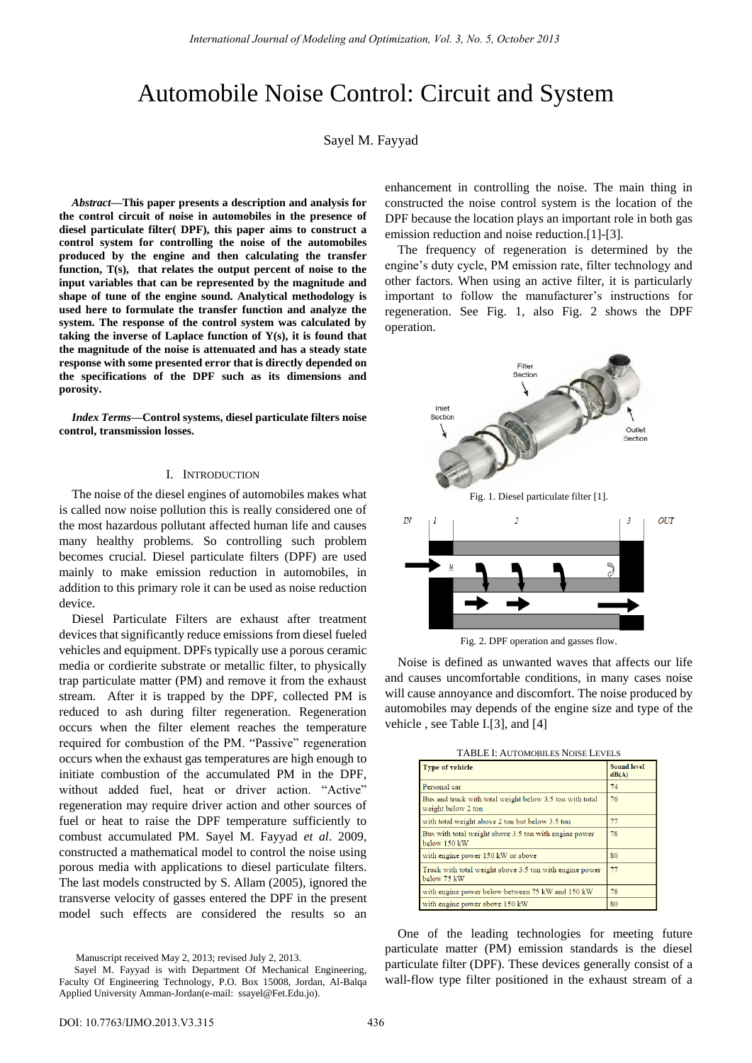# Automobile Noise Control: Circuit and System

Sayel M. Fayyad

*Abstract—***This paper presents a description and analysis for the control circuit of noise in automobiles in the presence of diesel particulate filter( DPF), this paper aims to construct a control system for controlling the noise of the automobiles produced by the engine and then calculating the transfer function, T(s), that relates the output percent of noise to the input variables that can be represented by the magnitude and shape of tune of the engine sound. Analytical methodology is used here to formulate the transfer function and analyze the system. The response of the control system was calculated by taking the inverse of Laplace function of Y(s), it is found that the magnitude of the noise is attenuated and has a steady state response with some presented error that is directly depended on the specifications of the DPF such as its dimensions and porosity.** 

*Index Terms***—Control systems, diesel particulate filters noise control, transmission losses.** 

## I. INTRODUCTION

The noise of the diesel engines of automobiles makes what is called now noise pollution this is really considered one of the most hazardous pollutant affected human life and causes many healthy problems. So controlling such problem becomes crucial. Diesel particulate filters (DPF) are used mainly to make emission reduction in automobiles, in addition to this primary role it can be used as noise reduction device.

Diesel Particulate Filters are exhaust after treatment devices that significantly reduce emissions from diesel fueled vehicles and equipment. DPFs typically use a porous ceramic media or cordierite substrate or metallic filter, to physically trap particulate matter (PM) and remove it from the exhaust stream. After it is trapped by the DPF, collected PM is reduced to ash during filter regeneration. Regeneration occurs when the filter element reaches the temperature required for combustion of the PM. "Passive" regeneration occurs when the exhaust gas temperatures are high enough to initiate combustion of the accumulated PM in the DPF, without added fuel, heat or driver action. "Active" regeneration may require driver action and other sources of fuel or heat to raise the DPF temperature sufficiently to combust accumulated PM. Sayel M. Fayyad *et al*. 2009, constructed a mathematical model to control the noise using porous media with applications to diesel particulate filters. The last models constructed by S. Allam (2005), ignored the transverse velocity of gasses entered the DPF in the present model such effects are considered the results so an

Manuscript received May 2, 2013; revised July 2, 2013.

enhancement in controlling the noise. The main thing in constructed the noise control system is the location of the DPF because the location plays an important role in both gas emission reduction and noise reduction.[1]-[3].

The frequency of regeneration is determined by the engine"s duty cycle, PM emission rate, filter technology and other factors. When using an active filter, it is particularly important to follow the manufacturer's instructions for regeneration. See Fig. 1, also Fig. 2 shows the DPF operation.



Fig. 2. DPF operation and gasses flow.

Noise is defined as unwanted waves that affects our life and causes uncomfortable conditions, in many cases noise will cause annoyance and discomfort. The noise produced by automobiles may depends of the engine size and type of the vehicle , see Table I.[3], and [4]

| <b>Type of vehicle</b>                                                         | <b>Sound level</b><br>dB(A) |
|--------------------------------------------------------------------------------|-----------------------------|
| Personal car                                                                   | 74                          |
| Bus and truck with total weight below 3.5 ton with total<br>weight below 2 ton | 76                          |
| with total weight above 2 ton but below 3.5 ton                                | 77                          |
| Bus with total weight above 3.5 ton with engine power<br>below 150 kW          | 78                          |
| with engine power 150 kW or above                                              | 80                          |
| Truck with total weight above 3.5 ton with engine power<br>below 75 kW         | 77                          |
| with engine power below between 75 kW and 150 kW                               | 78                          |
| with engine power above 150 kW                                                 | 80                          |

One of the leading technologies for meeting future particulate matter (PM) emission standards is the diesel particulate filter (DPF). These devices generally consist of a wall-flow type filter positioned in the exhaust stream of a

Sayel M. Fayyad is with Department Of Mechanical Engineering, Faculty Of Engineering Technology, P.O. Box 15008, Jordan, Al-Balqa Applied University Amman-Jordan(e-mail: [ssayel@Fet.Edu.j](mailto:ssayel@Fet.Edu)o).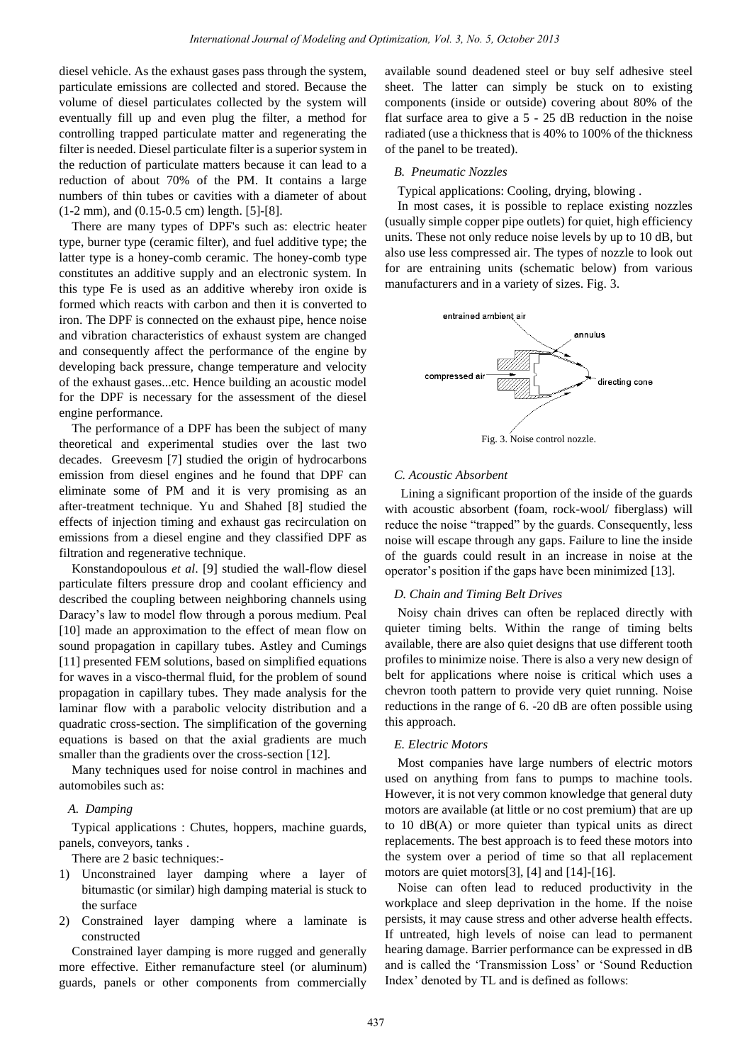diesel vehicle. As the exhaust gases pass through the system, particulate emissions are collected and stored. Because the volume of diesel particulates collected by the system will eventually fill up and even plug the filter, a method for controlling trapped particulate matter and regenerating the filter is needed. Diesel particulate filter is a superior system in the reduction of particulate matters because it can lead to a reduction of about 70% of the PM. It contains a large numbers of thin tubes or cavities with a diameter of about (1-2 mm), and (0.15-0.5 cm) length. [5]-[8].

There are many types of DPF's such as: electric heater type, burner type (ceramic filter), and fuel additive type; the latter type is a honey-comb ceramic. The honey-comb type constitutes an additive supply and an electronic system. In this type Fe is used as an additive whereby iron oxide is formed which reacts with carbon and then it is converted to iron. The DPF is connected on the exhaust pipe, hence noise and vibration characteristics of exhaust system are changed and consequently affect the performance of the engine by developing back pressure, change temperature and velocity of the exhaust gases...etc. Hence building an acoustic model for the DPF is necessary for the assessment of the diesel engine performance.

The performance of a DPF has been the subject of many theoretical and experimental studies over the last two decades. Greevesm [7] studied the origin of hydrocarbons emission from diesel engines and he found that DPF can eliminate some of PM and it is very promising as an after-treatment technique. Yu and Shahed [8] studied the effects of injection timing and exhaust gas recirculation on emissions from a diesel engine and they classified DPF as filtration and regenerative technique.

Konstandopoulous *et al*. [9] studied the wall-flow diesel particulate filters pressure drop and coolant efficiency and described the coupling between neighboring channels using Daracy"s law to model flow through a porous medium. Peal [10] made an approximation to the effect of mean flow on sound propagation in capillary tubes. Astley and Cumings [11] presented FEM solutions, based on simplified equations for waves in a visco-thermal fluid, for the problem of sound propagation in capillary tubes. They made analysis for the laminar flow with a parabolic velocity distribution and a quadratic cross-section. The simplification of the governing equations is based on that the axial gradients are much smaller than the gradients over the cross-section [12].

Many techniques used for noise control in machines and automobiles such as:

## *A. Damping*

Typical applications : Chutes, hoppers, machine guards, panels, conveyors, tanks .

There are 2 basic techniques:-

- 1) Unconstrained layer damping where a layer of bitumastic (or similar) high damping material is stuck to the surface
- 2) Constrained layer damping where a laminate is constructed

Constrained layer damping is more rugged and generally more effective. Either remanufacture steel (or aluminum) guards, panels or other components from commercially

available sound deadened steel or buy self adhesive steel sheet. The latter can simply be stuck on to existing components (inside or outside) covering about 80% of the flat surface area to give a 5 - 25 dB reduction in the noise radiated (use a thickness that is 40% to 100% of the thickness of the panel to be treated).

## *B. Pneumatic Nozzles*

Typical applications: Cooling, drying, blowing .

In most cases, it is possible to replace existing nozzles (usually simple copper pipe outlets) for quiet, high efficiency units. These not only reduce noise levels by up to 10 dB, but also use less compressed air. The types of nozzle to look out for are entraining units (schematic below) from various manufacturers and in a variety of sizes. Fig. 3.



Fig. 3. Noise control nozzle.

### *C. Acoustic Absorbent*

 Lining a significant proportion of the inside of the guards with acoustic absorbent (foam, rock-wool/ fiberglass) will reduce the noise "trapped" by the guards. Consequently, less noise will escape through any gaps. Failure to line the inside of the guards could result in an increase in noise at the operator"s position if the gaps have been minimized [13].

#### *D. Chain and Timing Belt Drives*

Noisy chain drives can often be replaced directly with quieter timing belts. Within the range of timing belts available, there are also quiet designs that use different tooth profiles to minimize noise. There is also a very new design of belt for applications where noise is critical which uses a chevron tooth pattern to provide very quiet running. Noise reductions in the range of 6. -20 dB are often possible using this approach.

#### *E. Electric Motors*

Most companies have large numbers of electric motors used on anything from fans to pumps to machine tools. However, it is not very common knowledge that general duty motors are available (at little or no cost premium) that are up to 10 dB(A) or more quieter than typical units as direct replacements. The best approach is to feed these motors into the system over a period of time so that all replacement motors are quiet motors[3], [4] and [14]-[16].

Noise can often lead to reduced productivity in the workplace and sleep deprivation in the home. If the noise persists, it may cause stress and other adverse health effects. If untreated, high levels of noise can lead to permanent hearing damage. Barrier performance can be expressed in dB and is called the "Transmission Loss" or "Sound Reduction Index" denoted by TL and is defined as follows: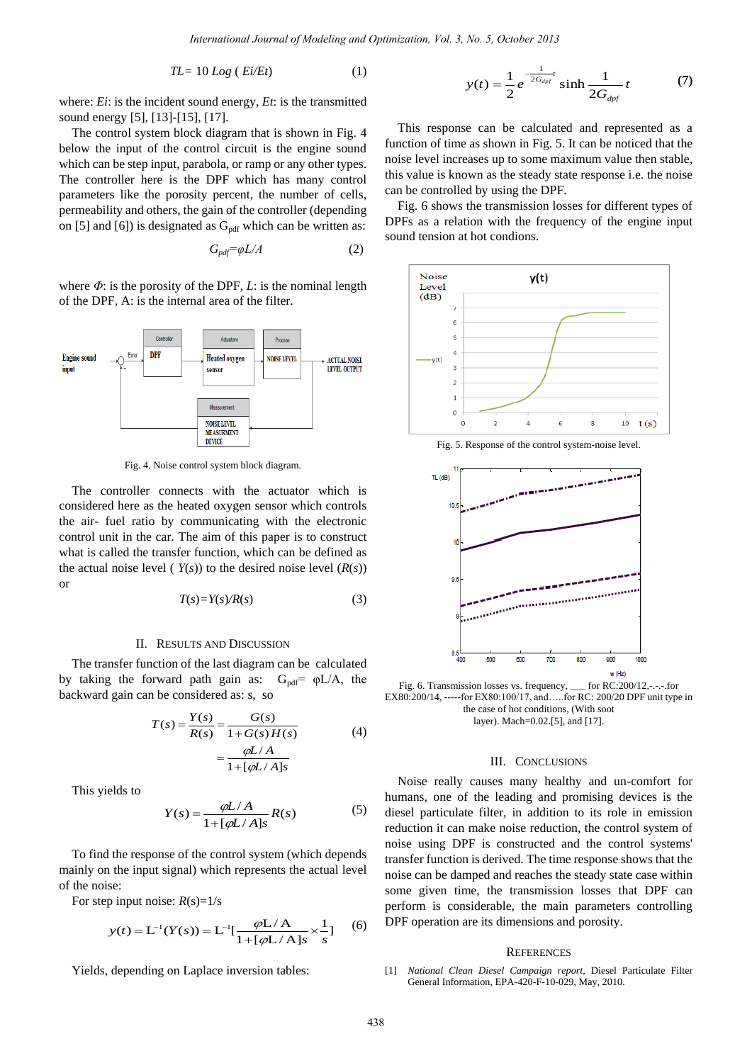$$
TL = 10 Log (Ei/Et) \tag{1}
$$

where: *Ei*: is the incident sound energy, *Et*: is the transmitted sound energy [5], [13]-[15], [17].

The control system block diagram that is shown in Fig. 4 below the input of the control circuit is the engine sound which can be step input, parabola, or ramp or any other types. The controller here is the DPF which has many control parameters like the porosity percent, the number of cells, permeability and others, the gain of the controller (depending on [5] and [6]) is designated as  $G<sub>pdf</sub>$  which can be written as:

$$
G_{pdf} = \varphi L/A \tag{2}
$$

where *Φ*: is the porosity of the DPF, *L*: is the nominal length of the DPF, A: is the internal area of the filter.



Fig. 4. Noise control system block diagram.

The controller connects with the actuator which is considered here as the heated oxygen sensor which controls the air- fuel ratio by communicating with the electronic control unit in the car. The aim of this paper is to construct what is called the transfer function, which can be defined as the actual noise level ( $Y(s)$ ) to the desired noise level  $(R(s))$ or

$$
T(s) = Y(s)/R(s) \tag{3}
$$

#### II. RESULTS AND DISCUSSION

The transfer function of the last diagram can be calculated by taking the forward path gain as:  $G_{pdf} = \varphi L/A$ , the backward gain can be considered as: s, so

$$
T(s) = \frac{Y(s)}{R(s)} = \frac{G(s)}{1 + G(s)H(s)} = \frac{\varphi L/A}{1 + [\varphi L/A]s}
$$
(4)

This yields to

$$
Y(s) = \frac{\varphi L/A}{1 + [\varphi L/A]s} R(s) \tag{5}
$$

To find the response of the control system (which depends mainly on the input signal) which represents the actual level of the noise:

For step input noise:  $R(s)=1/s$ 

$$
y(t) = L^{-1}(Y(s)) = L^{-1}[\frac{\varphi L/A}{1 + [\varphi L/A]s} \times \frac{1}{s}]
$$
 (6)

Yields, depending on Laplace inversion tables:

$$
y(t) = \frac{1}{2} e^{-\frac{1}{2G_{dpf}}} \sinh \frac{1}{2G_{dpf}} t
$$
 (7)

 This response can be calculated and represented as a function of time as shown in Fig. 5. It can be noticed that the noise level increases up to some maximum value then stable, this value is known as the steady state response i.e. the noise can be controlled by using the DPF.

Fig. 6 shows the transmission losses for different types of DPFs as a relation with the frequency of the engine input sound tension at hot condions.



Fig. 5. Response of the control system-noise level.



Fig. 6. Transmission losses vs. frequency, \_\_\_ for RC:200/12,-.-.-.for EX80:200/14, -----for EX80:100/17, and…..for RC: 200/20 DPF unit type in the case of hot conditions, (With soot layer). Mach=0.02.[5], and [17].

### III. CONCLUSIONS

Noise really causes many healthy and un-comfort for humans, one of the leading and promising devices is the diesel particulate filter, in addition to its role in emission reduction it can make noise reduction, the control system of noise using DPF is constructed and the control systems' transfer function is derived. The time response shows that the noise can be damped and reaches the steady state case within some given time, the transmission losses that DPF can perform is considerable, the main parameters controlling DPF operation are its dimensions and porosity.

#### **REFERENCES**

[1] *National Clean Diesel Campaign report*, Diesel Particulate Filter General Information, EPA-420-F-10-029, May, 2010.